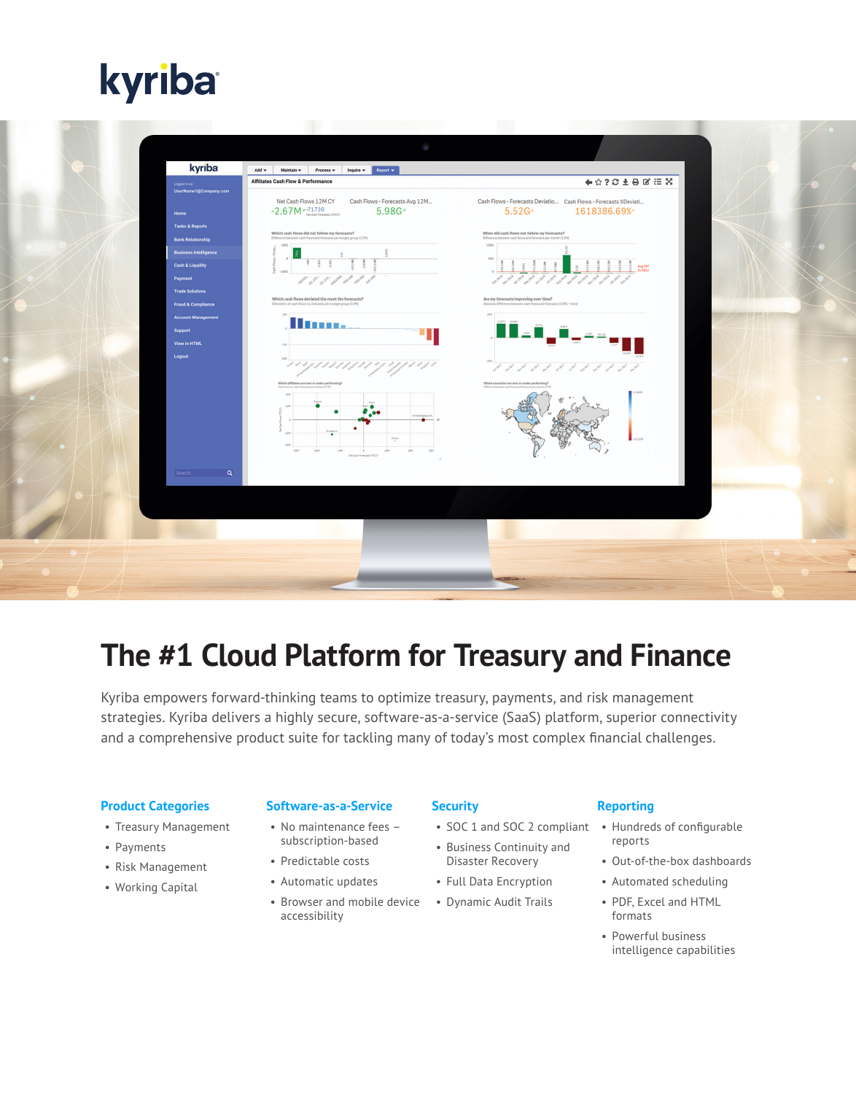# kyriba

| kyriba<br>Logged in as:                                     | Inquire $\blacktriangledown$ Report $\blacktriangledown$<br>Add $\blacktriangledown$<br>Maintain $\blacktriangledown$<br>Process $\blacktriangledown$<br><b>Affiliates Cash Flow &amp; Performance</b>                                                     | ←☆?○±⊖■注案                                                                                                           |  |
|-------------------------------------------------------------|------------------------------------------------------------------------------------------------------------------------------------------------------------------------------------------------------------------------------------------------------------|---------------------------------------------------------------------------------------------------------------------|--|
| UserName1@Company.com<br>Home                               | Net Cash Flows 12M CY<br>Cash Flows - Forecasts Avg 12M<br>$-2.67M$ $-71.72G$<br>5.98G                                                                                                                                                                     | Cash Flows - Forecasts Deviatio Cash Flows - Forecasts %Deviati<br>5.52G<br>1618386.69%                             |  |
| <b>Tasks &amp; Reports</b><br><b>Bank Relationship</b>      | Which cash flows did not follow my forecasts?<br>Difference between cash flows and forecasts per budget group (12M)<br>1006                                                                                                                                | When did cash flows not follow my forecasts?<br>Difference between cash flows and forecasts per month (12M)<br>1880 |  |
| <b>Business Intelligence</b><br><b>Cash &amp; Liquidity</b> |                                                                                                                                                                                                                                                            | 500<br>Avg Diff<br>(5.98G)                                                                                          |  |
| Payment<br><b>Trade Solutions</b>                           | allow oc one of our owner<br>Which cash flows deviated the most the forecasts?                                                                                                                                                                             | where we reveal of the couple and the period where you<br>Are my forecasts improving over time?                     |  |
| <b>Fraud &amp; Compliance</b><br><b>Account Management</b>  | XDeviation of cash flows vs. forecasts per budget group (12M)<br>Warn                                                                                                                                                                                      | Absolute difference between cash flows and forecasts (12M) + trend<br>11,079                                        |  |
| Support<br>View in HTML                                     |                                                                                                                                                                                                                                                            |                                                                                                                     |  |
| Logout                                                      |                                                                                                                                                                                                                                                            |                                                                                                                     |  |
|                                                             | Which affiliates are over or under performing?<br>۰<br><br>United Styles of A<br>$\bullet$ $\bullet$<br>. a i<br>Singapore<br>101.<br>$\mathcal{O}_{\frac{1}{2}+k}$<br>$-20M$<br>$-20M$<br>$-2011$<br>1016<br>2006<br>$-1000$<br>Net Cash Forecasts YTD CY | Which countries are over or under performing?                                                                       |  |
| $\alpha$<br>Search                                          |                                                                                                                                                                                                                                                            |                                                                                                                     |  |
|                                                             |                                                                                                                                                                                                                                                            |                                                                                                                     |  |
|                                                             |                                                                                                                                                                                                                                                            |                                                                                                                     |  |
|                                                             |                                                                                                                                                                                                                                                            |                                                                                                                     |  |

## **The #1 Cloud Platform for Treasury and Finance**

Kyriba empowers forward-thinking teams to optimize treasury, payments, and risk management strategies. Kyriba delivers a highly secure, software-as-a-service (SaaS) platform, superior connectivity and a comprehensive product suite for tackling many of today's most complex financial challenges.

#### **Product Categories**

- Treasury Management
- Payments
- Risk Management
- Working Capital

#### **Software-as-a-Service**

- No maintenance fees subscription-based
- Predictable costs
- Automatic updates
- Browser and mobile device accessibility

#### **Security**

- SOC 1 and SOC 2 compliant
- Business Continuity and Disaster Recovery
- Full Data Encryption
- Dynamic Audit Trails

#### **Reporting**

- Hundreds of configurable reports
- Out-of-the-box dashboards
- Automated scheduling
- PDF, Excel and HTML formats
- Powerful business intelligence capabilities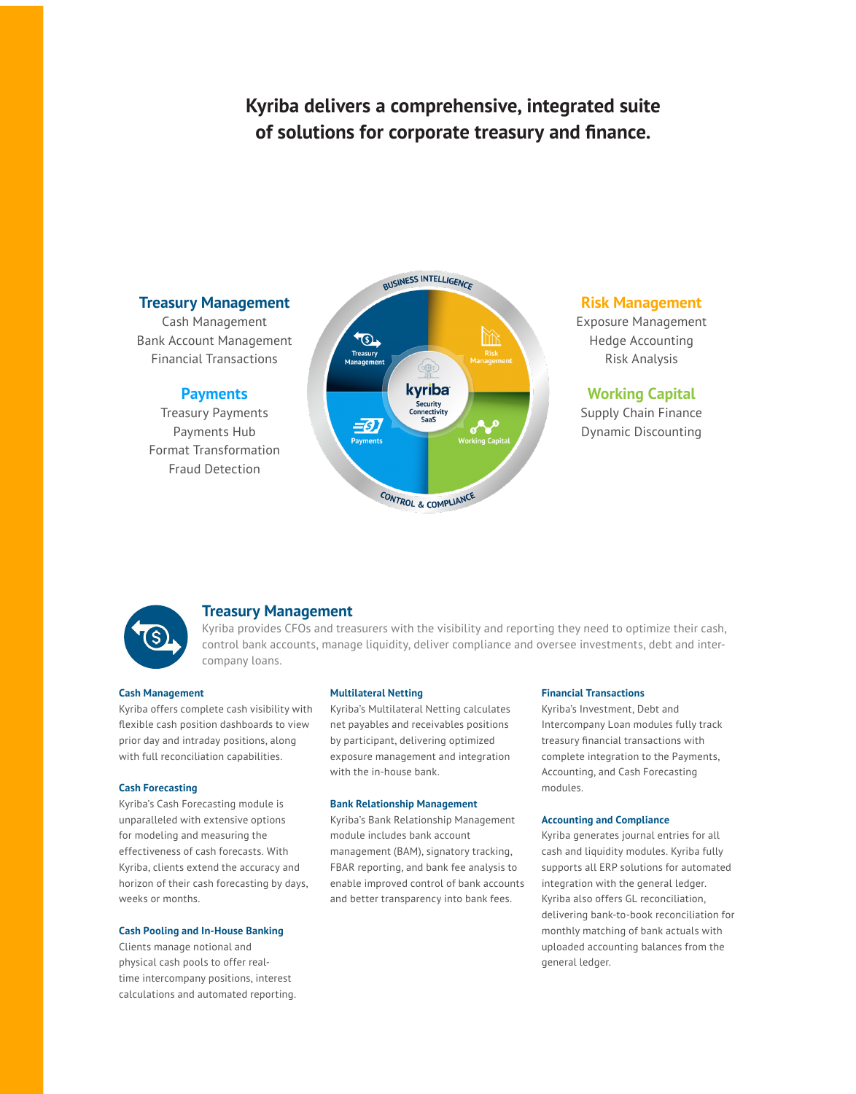### **Kyriba delivers a comprehensive, integrated suite of solutions for corporate treasury and finance.**

#### **Treasury Management**

Cash Management Bank Account Management Financial Transactions

#### **Payments**

Treasury Payments Payments Hub Format Transformation Fraud Detection



#### **Risk Management**

Exposure Management Hedge Accounting Risk Analysis

#### **Working Capital**

Supply Chain Finance Dynamic Discounting



#### **Treasury Management**

Kyriba provides CFOs and treasurers with the visibility and reporting they need to optimize their cash, control bank accounts, manage liquidity, deliver compliance and oversee investments, debt and intercompany loans.

#### **Cash Management**

Kyriba offers complete cash visibility with flexible cash position dashboards to view prior day and intraday positions, along with full reconciliation capabilities.

#### **Cash Forecasting**

Kyriba's Cash Forecasting module is unparalleled with extensive options for modeling and measuring the effectiveness of cash forecasts. With Kyriba, clients extend the accuracy and horizon of their cash forecasting by days, weeks or months.

#### **Cash Pooling and In-House Banking**

Clients manage notional and physical cash pools to offer realtime intercompany positions, interest calculations and automated reporting.

#### **Multilateral Netting**

Kyriba's Multilateral Netting calculates net payables and receivables positions by participant, delivering optimized exposure management and integration with the in-house bank.

#### **Bank Relationship Management**

Kyriba's Bank Relationship Management module includes bank account management (BAM), signatory tracking, FBAR reporting, and bank fee analysis to enable improved control of bank accounts and better transparency into bank fees.

#### **Financial Transactions**

Kyriba's Investment, Debt and Intercompany Loan modules fully track treasury financial transactions with complete integration to the Payments, Accounting, and Cash Forecasting modules.

#### **Accounting and Compliance**

Kyriba generates journal entries for all cash and liquidity modules. Kyriba fully supports all ERP solutions for automated integration with the general ledger. Kyriba also offers GL reconciliation, delivering bank-to-book reconciliation for monthly matching of bank actuals with uploaded accounting balances from the general ledger.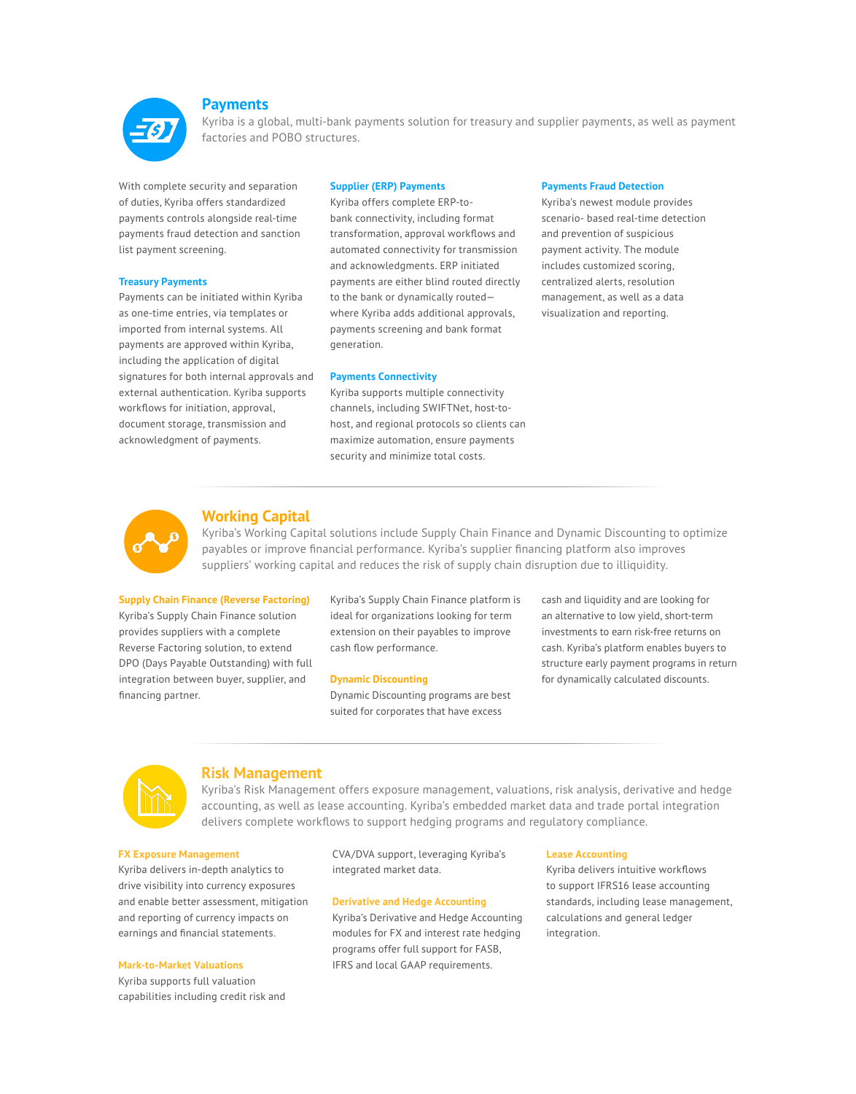

#### **Payments**

Kyriba is a global, multi-bank payments solution for treasury and supplier payments, as well as payment factories and POBO structures.

With complete security and separation of duties, Kyriba offers standardized payments controls alongside real-time payments fraud detection and sanction list payment screening.

#### **Treasury Payments**

Payments can be initiated within Kyriba as one-time entries, via templates or imported from internal systems. All payments are approved within Kyriba, including the application of digital signatures for both internal approvals and external authentication. Kyriba supports workflows for initiation, approval, document storage, transmission and acknowledgment of payments.

#### **Supplier (ERP) Payments**

Kyriba offers complete ERP-tobank connectivity, including format transformation, approval workflows and automated connectivity for transmission and acknowledgments. ERP initiated payments are either blind routed directly to the bank or dynamically routed where Kyriba adds additional approvals, payments screening and bank format generation.

#### **Payments Connectivity**

Kyriba supports multiple connectivity channels, including SWIFTNet, host-tohost, and regional protocols so clients can maximize automation, ensure payments security and minimize total costs.

#### **Payments Fraud Detection**

Kyriba's newest module provides scenario- based real-time detection and prevention of suspicious payment activity. The module includes customized scoring, centralized alerts, resolution management, as well as a data visualization and reporting.



#### **Working Capital**

Kyriba's Working Capital solutions include Supply Chain Finance and Dynamic Discounting to optimize payables or improve financial performance. Kyriba's supplier financing platform also improves suppliers' working capital and reduces the risk of supply chain disruption due to illiquidity.

#### **Supply Chain Finance (Reverse Factoring)**

Kyriba's Supply Chain Finance solution provides suppliers with a complete Reverse Factoring solution, to extend DPO (Days Payable Outstanding) with full integration between buyer, supplier, and financing partner.

Kyriba's Supply Chain Finance platform is ideal for organizations looking for term extension on their payables to improve cash flow performance.

#### **Dynamic Discounting**

Dynamic Discounting programs are best suited for corporates that have excess

cash and liquidity and are looking for an alternative to low yield, short-term investments to earn risk-free returns on cash. Kyriba's platform enables buyers to structure early payment programs in return for dynamically calculated discounts.



#### **Risk Management**

Kyriba's Risk Management offers exposure management, valuations, risk analysis, derivative and hedge accounting, as well as lease accounting. Kyriba's embedded market data and trade portal integration delivers complete workflows to support hedging programs and regulatory compliance.

#### **FX Exposure Management**

Kyriba delivers in-depth analytics to drive visibility into currency exposures and enable better assessment, mitigation and reporting of currency impacts on earnings and financial statements.

#### **Mark-to-Market Valuations**

Kyriba supports full valuation capabilities including credit risk and

CVA/DVA support, leveraging Kyriba's integrated market data.

#### **Derivative and Hedge Accounting**

Kyriba's Derivative and Hedge Accounting modules for FX and interest rate hedging programs offer full support for FASB, IFRS and local GAAP requirements.

#### **Lease Accounting**

Kyriba delivers intuitive workflows to support IFRS16 lease accounting standards, including lease management, calculations and general ledger integration.